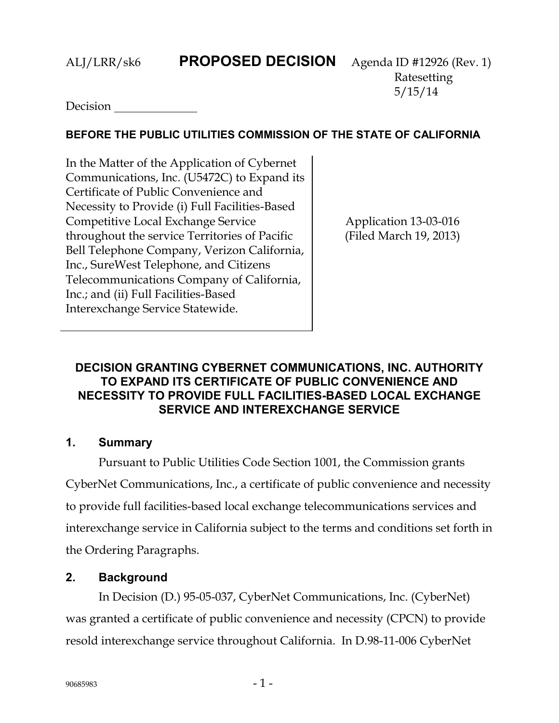## ALJ/LRR/sk6 **PROPOSED DECISION** Agenda ID #12926 (Rev. 1)

Ratesetting 5/15/14

**Decision** 

## **BEFORE THE PUBLIC UTILITIES COMMISSION OF THE STATE OF CALIFORNIA**

In the Matter of the Application of Cybernet Communications, Inc. (U5472C) to Expand its Certificate of Public Convenience and Necessity to Provide (i) Full Facilities-Based Competitive Local Exchange Service throughout the service Territories of Pacific Bell Telephone Company, Verizon California, Inc., SureWest Telephone, and Citizens Telecommunications Company of California, Inc.; and (ii) Full Facilities-Based Interexchange Service Statewide.

Application 13-03-016 (Filed March 19, 2013)

## **DECISION GRANTING CYBERNET COMMUNICATIONS, INC. AUTHORITY TO EXPAND ITS CERTIFICATE OF PUBLIC CONVENIENCE AND NECESSITY TO PROVIDE FULL FACILITIES-BASED LOCAL EXCHANGE SERVICE AND INTEREXCHANGE SERVICE**

## **1. Summary**

Pursuant to Public Utilities Code Section 1001, the Commission grants CyberNet Communications, Inc., a certificate of public convenience and necessity to provide full facilities-based local exchange telecommunications services and interexchange service in California subject to the terms and conditions set forth in the Ordering Paragraphs.

## **2. Background**

In Decision (D.) 95-05-037, CyberNet Communications, Inc. (CyberNet) was granted a certificate of public convenience and necessity (CPCN) to provide resold interexchange service throughout California. In D.98-11-006 CyberNet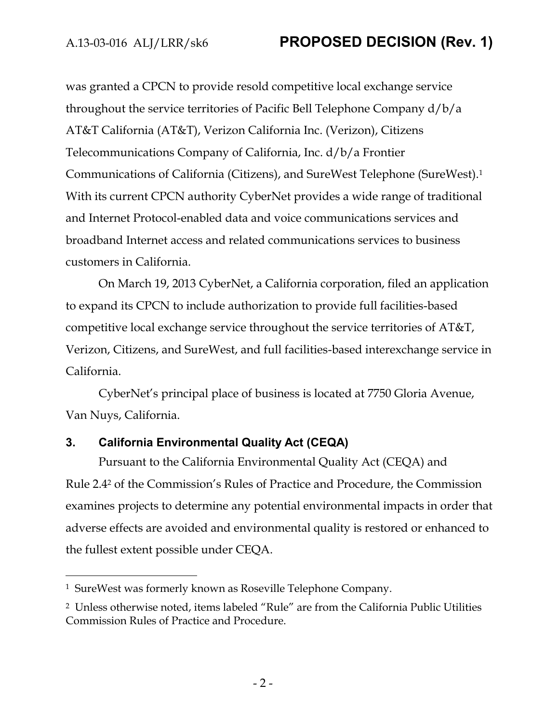was granted a CPCN to provide resold competitive local exchange service throughout the service territories of Pacific Bell Telephone Company d/b/a AT&T California (AT&T), Verizon California Inc. (Verizon), Citizens Telecommunications Company of California, Inc. d/b/a Frontier Communications of California (Citizens), and SureWest Telephone (SureWest).<sup>1</sup> With its current CPCN authority CyberNet provides a wide range of traditional and Internet Protocol-enabled data and voice communications services and broadband Internet access and related communications services to business customers in California.

On March 19, 2013 CyberNet, a California corporation, filed an application to expand its CPCN to include authorization to provide full facilities-based competitive local exchange service throughout the service territories of AT&T, Verizon, Citizens, and SureWest, and full facilities-based interexchange service in California.

CyberNet's principal place of business is located at 7750 Gloria Avenue, Van Nuys, California.

## **3. California Environmental Quality Act (CEQA)**

Pursuant to the California Environmental Quality Act (CEQA) and Rule 2.4<sup>2</sup> of the Commission's Rules of Practice and Procedure, the Commission examines projects to determine any potential environmental impacts in order that adverse effects are avoided and environmental quality is restored or enhanced to the fullest extent possible under CEQA.

 $\overline{a}$ 

<sup>1</sup> SureWest was formerly known as Roseville Telephone Company.

<sup>2</sup> Unless otherwise noted, items labeled "Rule" are from the California Public Utilities Commission Rules of Practice and Procedure.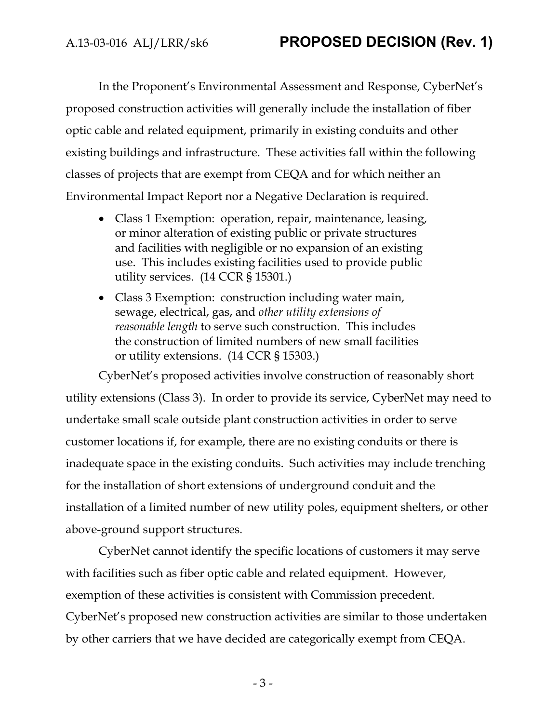In the Proponent's Environmental Assessment and Response, CyberNet's proposed construction activities will generally include the installation of fiber optic cable and related equipment, primarily in existing conduits and other existing buildings and infrastructure. These activities fall within the following classes of projects that are exempt from CEQA and for which neither an Environmental Impact Report nor a Negative Declaration is required.

- Class 1 Exemption: operation, repair, maintenance, leasing, or minor alteration of existing public or private structures and facilities with negligible or no expansion of an existing use. This includes existing facilities used to provide public utility services. (14 CCR § 15301.)
- Class 3 Exemption: construction including water main, sewage, electrical, gas, and *other utility extensions of reasonable length* to serve such construction. This includes the construction of limited numbers of new small facilities or utility extensions. (14 CCR § 15303.)

CyberNet's proposed activities involve construction of reasonably short utility extensions (Class 3). In order to provide its service, CyberNet may need to undertake small scale outside plant construction activities in order to serve customer locations if, for example, there are no existing conduits or there is inadequate space in the existing conduits. Such activities may include trenching for the installation of short extensions of underground conduit and the installation of a limited number of new utility poles, equipment shelters, or other above-ground support structures.

CyberNet cannot identify the specific locations of customers it may serve with facilities such as fiber optic cable and related equipment. However, exemption of these activities is consistent with Commission precedent. CyberNet's proposed new construction activities are similar to those undertaken by other carriers that we have decided are categorically exempt from CEQA.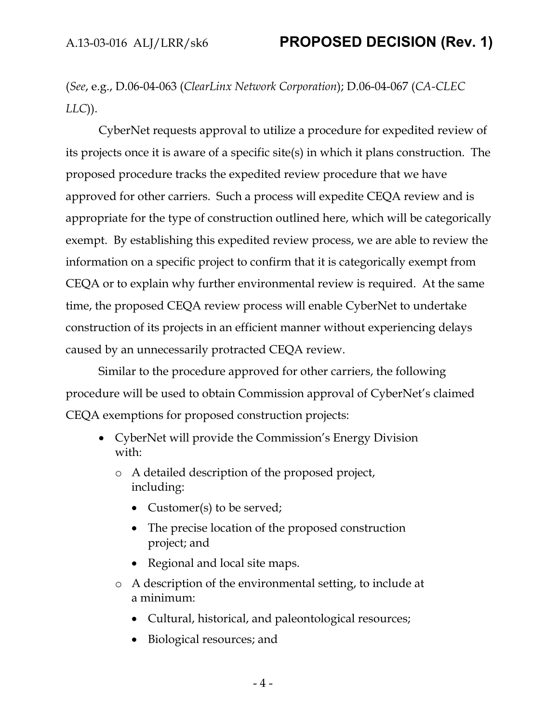(*See*, e.g., D.06-04-063 (*ClearLinx Network Corporation*); D.06-04-067 (*CA-CLEC LLC*)).

CyberNet requests approval to utilize a procedure for expedited review of its projects once it is aware of a specific site(s) in which it plans construction. The proposed procedure tracks the expedited review procedure that we have approved for other carriers. Such a process will expedite CEQA review and is appropriate for the type of construction outlined here, which will be categorically exempt. By establishing this expedited review process, we are able to review the information on a specific project to confirm that it is categorically exempt from CEQA or to explain why further environmental review is required. At the same time, the proposed CEQA review process will enable CyberNet to undertake construction of its projects in an efficient manner without experiencing delays caused by an unnecessarily protracted CEQA review.

Similar to the procedure approved for other carriers, the following procedure will be used to obtain Commission approval of CyberNet's claimed CEQA exemptions for proposed construction projects:

- CyberNet will provide the Commission's Energy Division with:
	- o A detailed description of the proposed project, including:
		- Customer(s) to be served;
		- The precise location of the proposed construction project; and
		- Regional and local site maps.
	- o A description of the environmental setting, to include at a minimum:
		- Cultural, historical, and paleontological resources;
		- Biological resources; and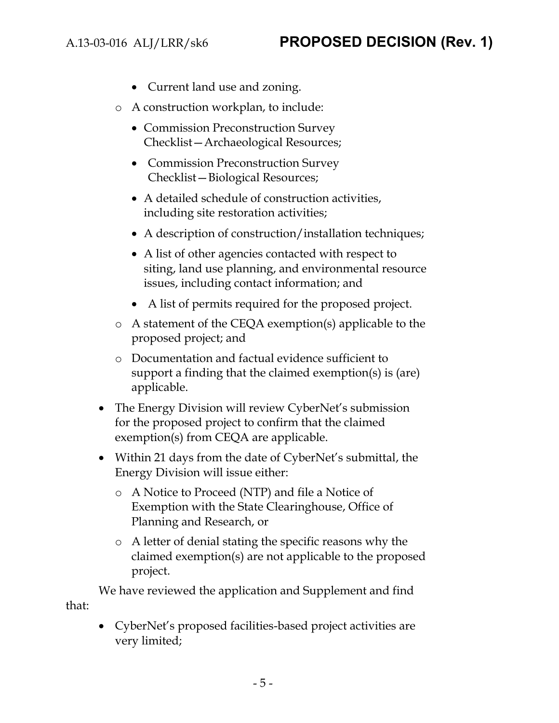- Current land use and zoning.
- o A construction workplan, to include:
	- Commission Preconstruction Survey Checklist—Archaeological Resources;
	- Commission Preconstruction Survey Checklist—Biological Resources;
	- A detailed schedule of construction activities, including site restoration activities;
	- A description of construction/installation techniques;
	- A list of other agencies contacted with respect to siting, land use planning, and environmental resource issues, including contact information; and
	- A list of permits required for the proposed project.
- o A statement of the CEQA exemption(s) applicable to the proposed project; and
- o Documentation and factual evidence sufficient to support a finding that the claimed exemption(s) is (are) applicable.
- The Energy Division will review CyberNet's submission for the proposed project to confirm that the claimed exemption(s) from CEQA are applicable.
- Within 21 days from the date of CyberNet's submittal, the Energy Division will issue either:
	- o A Notice to Proceed (NTP) and file a Notice of Exemption with the State Clearinghouse, Office of Planning and Research, or
	- o A letter of denial stating the specific reasons why the claimed exemption(s) are not applicable to the proposed project.

We have reviewed the application and Supplement and find that:

 CyberNet's proposed facilities-based project activities are very limited;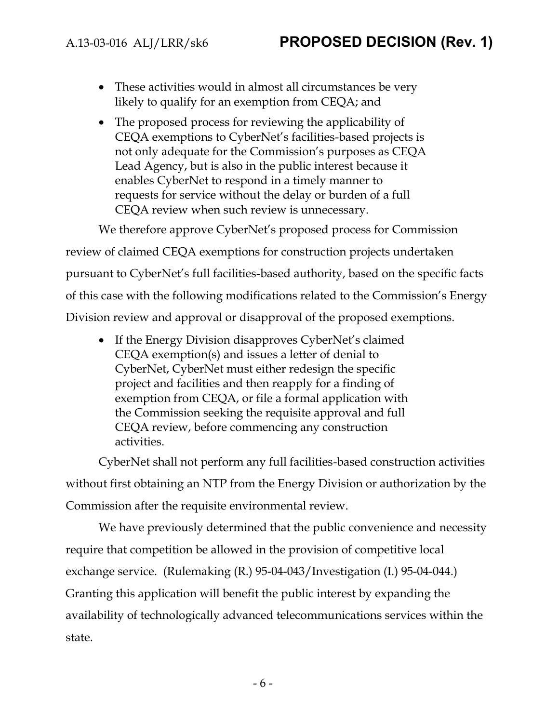- These activities would in almost all circumstances be very likely to qualify for an exemption from CEQA; and
- The proposed process for reviewing the applicability of CEQA exemptions to CyberNet's facilities-based projects is not only adequate for the Commission's purposes as CEQA Lead Agency, but is also in the public interest because it enables CyberNet to respond in a timely manner to requests for service without the delay or burden of a full CEQA review when such review is unnecessary.

We therefore approve CyberNet's proposed process for Commission review of claimed CEQA exemptions for construction projects undertaken pursuant to CyberNet's full facilities-based authority, based on the specific facts of this case with the following modifications related to the Commission's Energy Division review and approval or disapproval of the proposed exemptions.

• If the Energy Division disapproves CyberNet's claimed CEQA exemption(s) and issues a letter of denial to CyberNet, CyberNet must either redesign the specific project and facilities and then reapply for a finding of exemption from CEQA, or file a formal application with the Commission seeking the requisite approval and full CEQA review, before commencing any construction activities.

CyberNet shall not perform any full facilities-based construction activities without first obtaining an NTP from the Energy Division or authorization by the Commission after the requisite environmental review.

We have previously determined that the public convenience and necessity require that competition be allowed in the provision of competitive local exchange service. (Rulemaking (R.) 95-04-043/Investigation (I.) 95-04-044.) Granting this application will benefit the public interest by expanding the availability of technologically advanced telecommunications services within the state.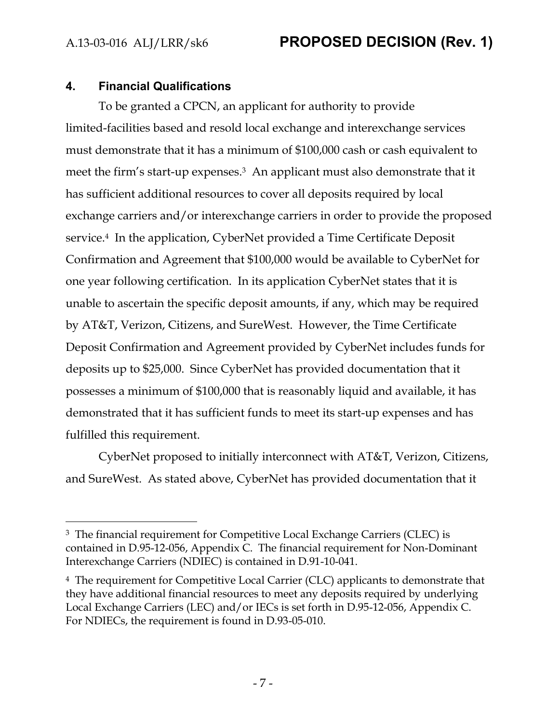$\overline{a}$ 

# A.13-03-016 ALJ/LRR/sk6 **PROPOSED DECISION (Rev. 1)**

#### **4. Financial Qualifications**

To be granted a CPCN, an applicant for authority to provide limited-facilities based and resold local exchange and interexchange services must demonstrate that it has a minimum of \$100,000 cash or cash equivalent to meet the firm's start-up expenses.3 An applicant must also demonstrate that it has sufficient additional resources to cover all deposits required by local exchange carriers and/or interexchange carriers in order to provide the proposed service.<sup>4</sup> In the application, CyberNet provided a Time Certificate Deposit Confirmation and Agreement that \$100,000 would be available to CyberNet for one year following certification. In its application CyberNet states that it is unable to ascertain the specific deposit amounts, if any, which may be required by AT&T, Verizon, Citizens, and SureWest. However, the Time Certificate Deposit Confirmation and Agreement provided by CyberNet includes funds for deposits up to \$25,000.Since CyberNet has provided documentation that it possesses a minimum of \$100,000 that is reasonably liquid and available, it has demonstrated that it has sufficient funds to meet its start-up expenses and has fulfilled this requirement.

CyberNet proposed to initially interconnect with AT&T, Verizon, Citizens, and SureWest. As stated above, CyberNet has provided documentation that it

<sup>&</sup>lt;sup>3</sup> The financial requirement for Competitive Local Exchange Carriers (CLEC) is contained in D.95-12-056, Appendix C. The financial requirement for Non-Dominant Interexchange Carriers (NDIEC) is contained in D.91-10-041.

<sup>4</sup> The requirement for Competitive Local Carrier (CLC) applicants to demonstrate that they have additional financial resources to meet any deposits required by underlying Local Exchange Carriers (LEC) and/or IECs is set forth in D.95-12-056, Appendix C. For NDIECs, the requirement is found in D.93-05-010.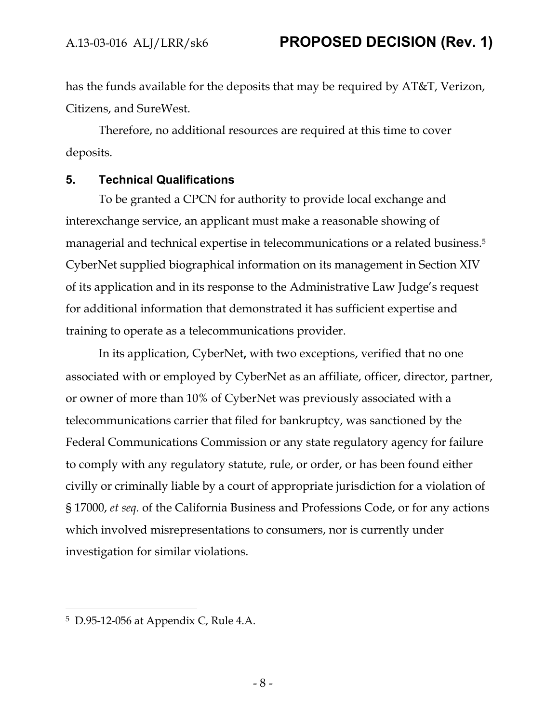has the funds available for the deposits that may be required by AT&T, Verizon, Citizens, and SureWest.

Therefore, no additional resources are required at this time to cover deposits.

#### **5. Technical Qualifications**

To be granted a CPCN for authority to provide local exchange and interexchange service, an applicant must make a reasonable showing of managerial and technical expertise in telecommunications or a related business.<sup>5</sup> CyberNet supplied biographical information on its management in Section XIV of its application and in its response to the Administrative Law Judge's request for additional information that demonstrated it has sufficient expertise and training to operate as a telecommunications provider.

In its application, CyberNet**,** with two exceptions, verified that no one associated with or employed by CyberNet as an affiliate, officer, director, partner, or owner of more than 10% of CyberNet was previously associated with a telecommunications carrier that filed for bankruptcy, was sanctioned by the Federal Communications Commission or any state regulatory agency for failure to comply with any regulatory statute, rule, or order, or has been found either civilly or criminally liable by a court of appropriate jurisdiction for a violation of § 17000, *et seq.* of the California Business and Professions Code, or for any actions which involved misrepresentations to consumers, nor is currently under investigation for similar violations.

 $\overline{a}$ 

<sup>5</sup> D.95-12-056 at Appendix C, Rule 4.A.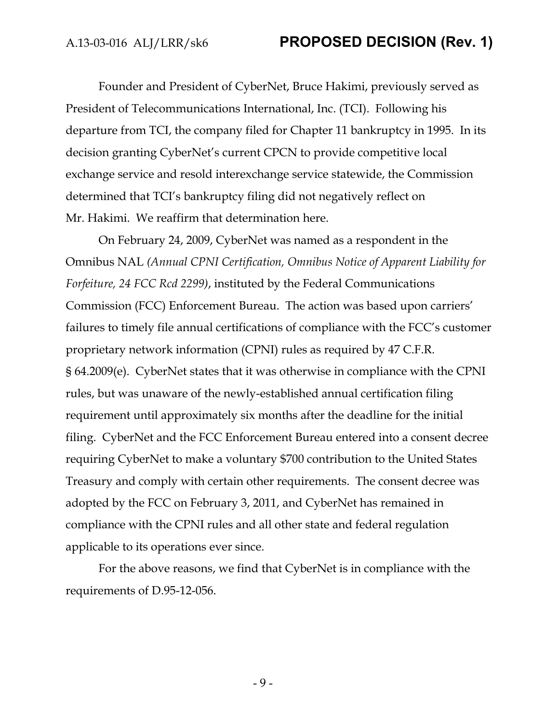Founder and President of CyberNet, Bruce Hakimi, previously served as President of Telecommunications International, Inc. (TCI). Following his departure from TCI, the company filed for Chapter 11 bankruptcy in 1995. In its decision granting CyberNet's current CPCN to provide competitive local exchange service and resold interexchange service statewide, the Commission determined that TCI's bankruptcy filing did not negatively reflect on Mr. Hakimi. We reaffirm that determination here.

On February 24, 2009, CyberNet was named as a respondent in the Omnibus NAL *(Annual CPNI Certification, Omnibus Notice of Apparent Liability for Forfeiture, 24 FCC Rcd 2299)*, instituted by the Federal Communications Commission (FCC) Enforcement Bureau. The action was based upon carriers' failures to timely file annual certifications of compliance with the FCC's customer proprietary network information (CPNI) rules as required by 47 C.F.R. § 64.2009(e). CyberNet states that it was otherwise in compliance with the CPNI rules, but was unaware of the newly-established annual certification filing requirement until approximately six months after the deadline for the initial filing. CyberNet and the FCC Enforcement Bureau entered into a consent decree requiring CyberNet to make a voluntary \$700 contribution to the United States Treasury and comply with certain other requirements. The consent decree was adopted by the FCC on February 3, 2011, and CyberNet has remained in compliance with the CPNI rules and all other state and federal regulation applicable to its operations ever since.

For the above reasons, we find that CyberNet is in compliance with the requirements of D.95-12-056.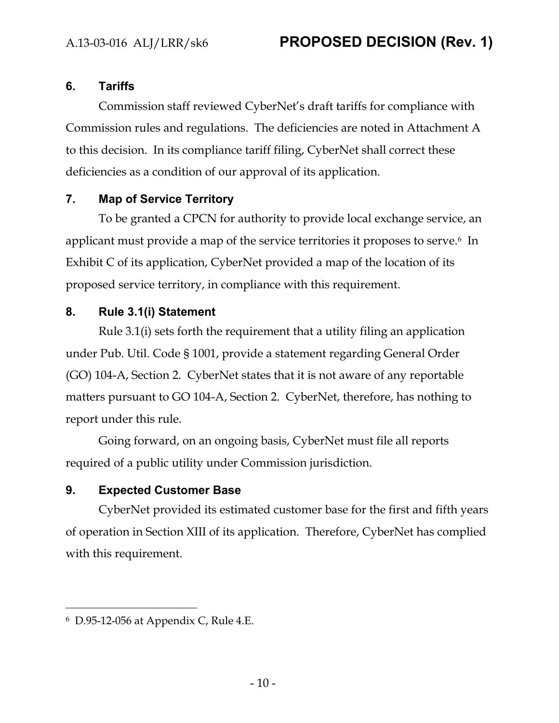## **6. Tariffs**

Commission staff reviewed CyberNet's draft tariffs for compliance with Commission rules and regulations. The deficiencies are noted in Attachment A to this decision. In its compliance tariff filing, CyberNet shall correct these deficiencies as a condition of our approval of its application.

## **7. Map of Service Territory**

To be granted a CPCN for authority to provide local exchange service, an applicant must provide a map of the service territories it proposes to serve.<sup>6</sup> In Exhibit C of its application, CyberNet provided a map of the location of its proposed service territory, in compliance with this requirement.

## **8. Rule 3.1(i) Statement**

Rule 3.1(i) sets forth the requirement that a utility filing an application under Pub. Util. Code § 1001, provide a statement regarding General Order (GO) 104-A, Section 2. CyberNet states that it is not aware of any reportable matters pursuant to GO 104-A, Section 2. CyberNet, therefore, has nothing to report under this rule.

Going forward, on an ongoing basis, CyberNet must file all reports required of a public utility under Commission jurisdiction.

## **9. Expected Customer Base**

CyberNet provided its estimated customer base for the first and fifth years of operation in Section XIII of its application. Therefore, CyberNet has complied with this requirement.

 $\overline{a}$ 

<sup>6</sup> D.95-12-056 at Appendix C, Rule 4.E.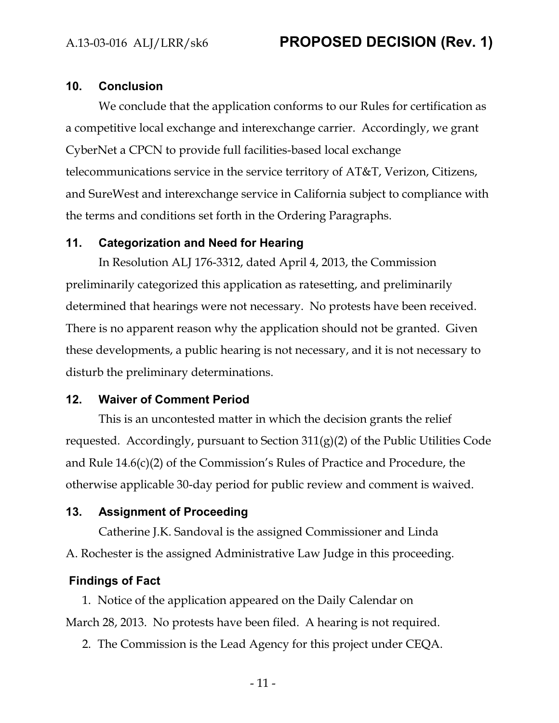#### **10. Conclusion**

We conclude that the application conforms to our Rules for certification as a competitive local exchange and interexchange carrier. Accordingly, we grant CyberNet a CPCN to provide full facilities-based local exchange telecommunications service in the service territory of AT&T, Verizon, Citizens, and SureWest and interexchange service in California subject to compliance with the terms and conditions set forth in the Ordering Paragraphs.

#### **11. Categorization and Need for Hearing**

In Resolution ALJ 176-3312, dated April 4, 2013, the Commission preliminarily categorized this application as ratesetting, and preliminarily determined that hearings were not necessary. No protests have been received. There is no apparent reason why the application should not be granted. Given these developments, a public hearing is not necessary, and it is not necessary to disturb the preliminary determinations.

#### **12. Waiver of Comment Period**

This is an uncontested matter in which the decision grants the relief requested. Accordingly, pursuant to Section  $311(g)(2)$  of the Public Utilities Code and Rule 14.6(c)(2) of the Commission's Rules of Practice and Procedure, the otherwise applicable 30-day period for public review and comment is waived.

#### **13. Assignment of Proceeding**

Catherine J.K. Sandoval is the assigned Commissioner and Linda A. Rochester is the assigned Administrative Law Judge in this proceeding.

#### **Findings of Fact**

1. Notice of the application appeared on the Daily Calendar on March 28, 2013. No protests have been filed. A hearing is not required.

2. The Commission is the Lead Agency for this project under CEQA.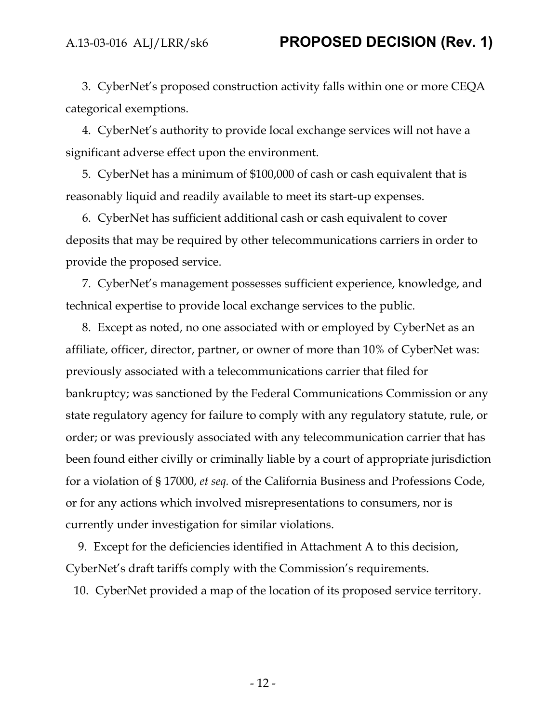3. CyberNet's proposed construction activity falls within one or more CEQA categorical exemptions.

4. CyberNet's authority to provide local exchange services will not have a significant adverse effect upon the environment.

5. CyberNet has a minimum of \$100,000 of cash or cash equivalent that is reasonably liquid and readily available to meet its start-up expenses.

6. CyberNet has sufficient additional cash or cash equivalent to cover deposits that may be required by other telecommunications carriers in order to provide the proposed service.

7. CyberNet's management possesses sufficient experience, knowledge, and technical expertise to provide local exchange services to the public.

8. Except as noted, no one associated with or employed by CyberNet as an affiliate, officer, director, partner, or owner of more than 10% of CyberNet was: previously associated with a telecommunications carrier that filed for bankruptcy; was sanctioned by the Federal Communications Commission or any state regulatory agency for failure to comply with any regulatory statute, rule, or order; or was previously associated with any telecommunication carrier that has been found either civilly or criminally liable by a court of appropriate jurisdiction for a violation of § 17000, *et seq.* of the California Business and Professions Code, or for any actions which involved misrepresentations to consumers, nor is currently under investigation for similar violations.

9. Except for the deficiencies identified in Attachment A to this decision, CyberNet's draft tariffs comply with the Commission's requirements.

10. CyberNet provided a map of the location of its proposed service territory.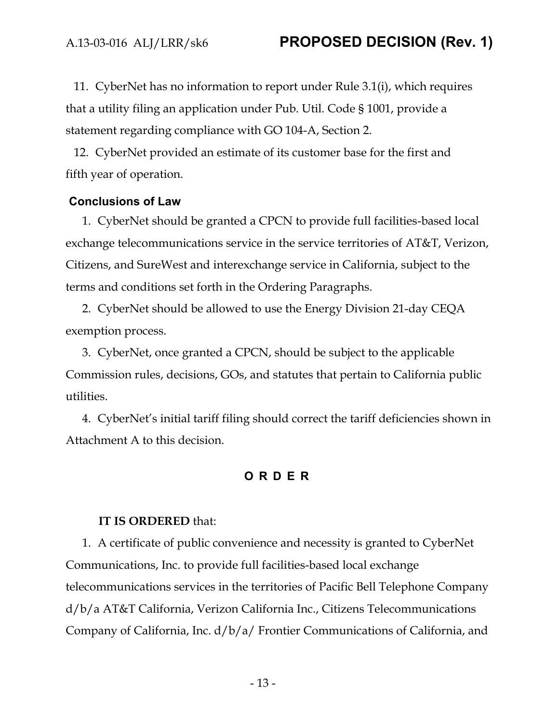11. CyberNet has no information to report under Rule 3.1(i), which requires that a utility filing an application under Pub. Util. Code § 1001, provide a statement regarding compliance with GO 104-A, Section 2.

12. CyberNet provided an estimate of its customer base for the first and fifth year of operation.

#### **Conclusions of Law**

1. CyberNet should be granted a CPCN to provide full facilities-based local exchange telecommunications service in the service territories of AT&T, Verizon, Citizens, and SureWest and interexchange service in California, subject to the terms and conditions set forth in the Ordering Paragraphs.

2. CyberNet should be allowed to use the Energy Division 21-day CEQA exemption process.

3. CyberNet, once granted a CPCN, should be subject to the applicable Commission rules, decisions, GOs, and statutes that pertain to California public utilities.

4. CyberNet's initial tariff filing should correct the tariff deficiencies shown in Attachment A to this decision.

#### **ORDER**

#### **IT IS ORDERED** that:

1. A certificate of public convenience and necessity is granted to CyberNet Communications, Inc. to provide full facilities-based local exchange telecommunications services in the territories of Pacific Bell Telephone Company d/b/a AT&T California, Verizon California Inc., Citizens Telecommunications Company of California, Inc. d/b/a/ Frontier Communications of California, and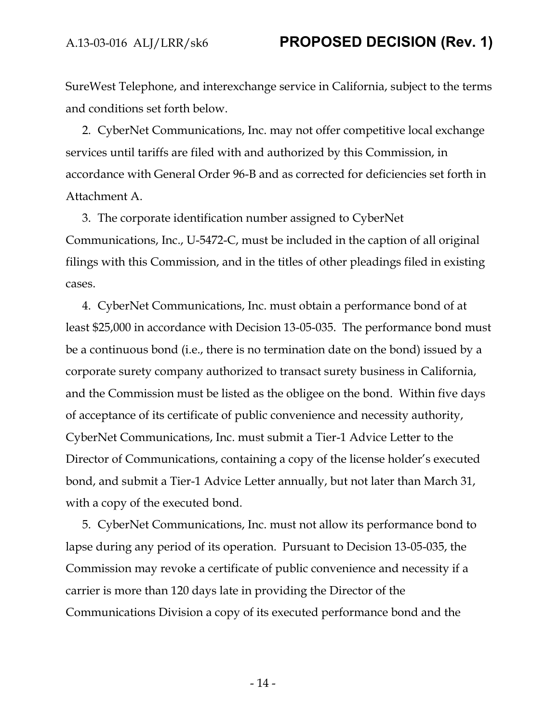SureWest Telephone, and interexchange service in California, subject to the terms and conditions set forth below.

2. CyberNet Communications, Inc. may not offer competitive local exchange services until tariffs are filed with and authorized by this Commission, in accordance with General Order 96-B and as corrected for deficiencies set forth in Attachment A.

3. The corporate identification number assigned to CyberNet Communications, Inc., U-5472-C, must be included in the caption of all original filings with this Commission, and in the titles of other pleadings filed in existing cases.

4. CyberNet Communications, Inc. must obtain a performance bond of at least \$25,000 in accordance with Decision 13-05-035. The performance bond must be a continuous bond (i.e., there is no termination date on the bond) issued by a corporate surety company authorized to transact surety business in California, and the Commission must be listed as the obligee on the bond. Within five days of acceptance of its certificate of public convenience and necessity authority, CyberNet Communications, Inc. must submit a Tier-1 Advice Letter to the Director of Communications, containing a copy of the license holder's executed bond, and submit a Tier-1 Advice Letter annually, but not later than March 31, with a copy of the executed bond.

5. CyberNet Communications, Inc. must not allow its performance bond to lapse during any period of its operation. Pursuant to Decision 13-05-035, the Commission may revoke a certificate of public convenience and necessity if a carrier is more than 120 days late in providing the Director of the Communications Division a copy of its executed performance bond and the

- 14 -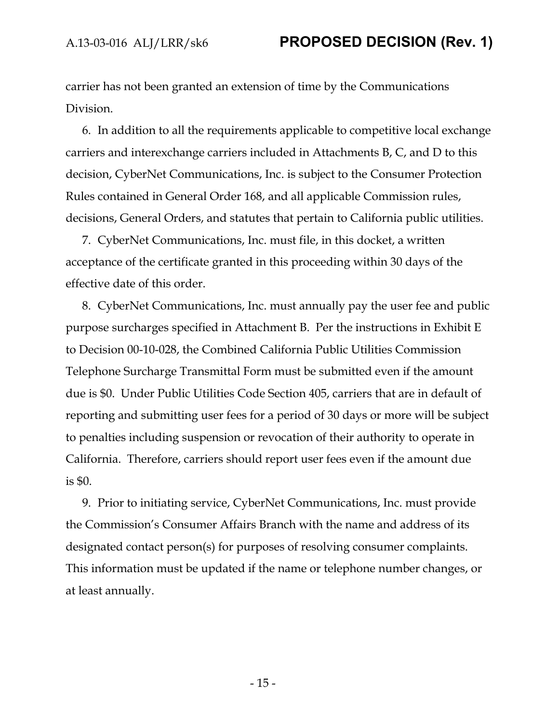carrier has not been granted an extension of time by the Communications Division.

6. In addition to all the requirements applicable to competitive local exchange carriers and interexchange carriers included in Attachments B, C, and D to this decision, CyberNet Communications, Inc. is subject to the Consumer Protection Rules contained in General Order 168, and all applicable Commission rules, decisions, General Orders, and statutes that pertain to California public utilities.

7. CyberNet Communications, Inc. must file, in this docket, a written acceptance of the certificate granted in this proceeding within 30 days of the effective date of this order.

8. CyberNet Communications, Inc. must annually pay the user fee and public purpose surcharges specified in Attachment B. Per the instructions in Exhibit E to Decision 00-10-028, the Combined California Public Utilities Commission Telephone Surcharge Transmittal Form must be submitted even if the amount due is \$0. Under Public Utilities Code Section 405, carriers that are in default of reporting and submitting user fees for a period of 30 days or more will be subject to penalties including suspension or revocation of their authority to operate in California. Therefore, carriers should report user fees even if the amount due is \$0.

9. Prior to initiating service, CyberNet Communications, Inc. must provide the Commission's Consumer Affairs Branch with the name and address of its designated contact person(s) for purposes of resolving consumer complaints. This information must be updated if the name or telephone number changes, or at least annually.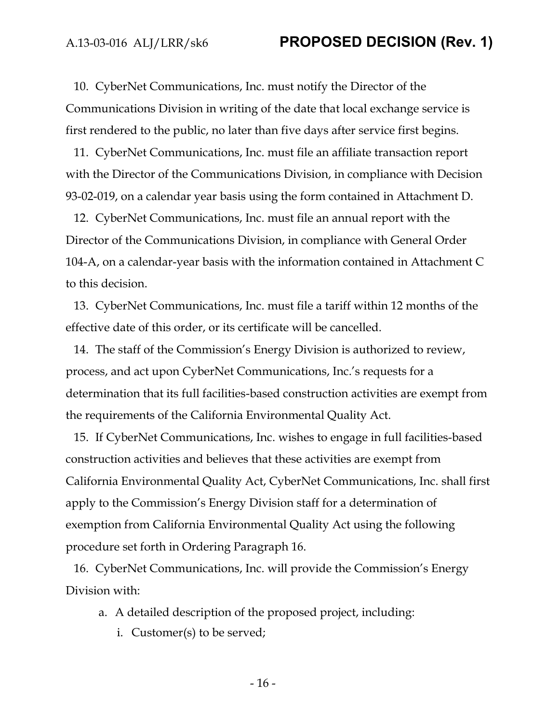10. CyberNet Communications, Inc. must notify the Director of the Communications Division in writing of the date that local exchange service is first rendered to the public, no later than five days after service first begins.

11. CyberNet Communications, Inc. must file an affiliate transaction report with the Director of the Communications Division, in compliance with Decision 93-02-019, on a calendar year basis using the form contained in Attachment D.

12. CyberNet Communications, Inc. must file an annual report with the Director of the Communications Division, in compliance with General Order 104-A, on a calendar-year basis with the information contained in Attachment C to this decision.

13. CyberNet Communications, Inc. must file a tariff within 12 months of the effective date of this order, or its certificate will be cancelled.

14. The staff of the Commission's Energy Division is authorized to review, process, and act upon CyberNet Communications, Inc.'s requests for a determination that its full facilities-based construction activities are exempt from the requirements of the California Environmental Quality Act.

15. If CyberNet Communications, Inc. wishes to engage in full facilities-based construction activities and believes that these activities are exempt from California Environmental Quality Act, CyberNet Communications, Inc. shall first apply to the Commission's Energy Division staff for a determination of exemption from California Environmental Quality Act using the following procedure set forth in Ordering Paragraph 16.

16. CyberNet Communications, Inc. will provide the Commission's Energy Division with:

- a. A detailed description of the proposed project, including:
	- i. Customer(s) to be served;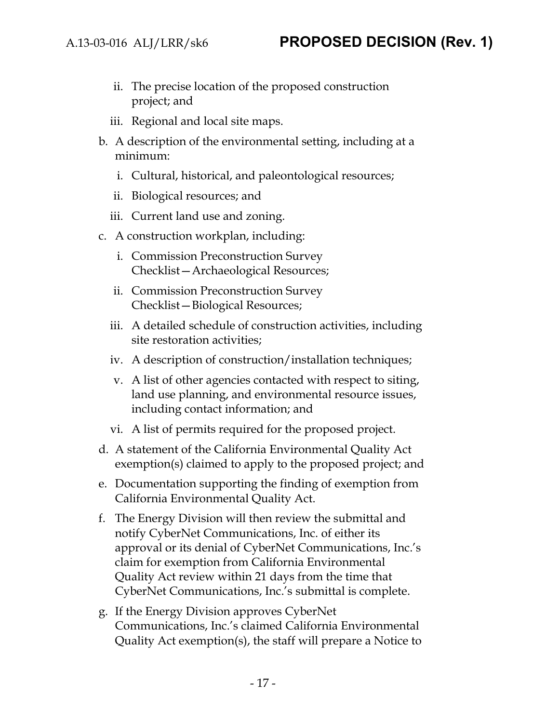- ii. The precise location of the proposed construction project; and
- iii. Regional and local site maps.
- b. A description of the environmental setting, including at a minimum:
	- i. Cultural, historical, and paleontological resources;
	- ii. Biological resources; and
	- iii. Current land use and zoning.
- c. A construction workplan, including:
	- i. Commission Preconstruction Survey Checklist—Archaeological Resources;
	- ii. Commission Preconstruction Survey Checklist—Biological Resources;
	- iii. A detailed schedule of construction activities, including site restoration activities;
	- iv. A description of construction/installation techniques;
	- v. A list of other agencies contacted with respect to siting, land use planning, and environmental resource issues, including contact information; and
	- vi. A list of permits required for the proposed project.
- d. A statement of the California Environmental Quality Act exemption(s) claimed to apply to the proposed project; and
- e. Documentation supporting the finding of exemption from California Environmental Quality Act.
- f. The Energy Division will then review the submittal and notify CyberNet Communications, Inc. of either its approval or its denial of CyberNet Communications, Inc.'s claim for exemption from California Environmental Quality Act review within 21 days from the time that CyberNet Communications, Inc.'s submittal is complete.
- g. If the Energy Division approves CyberNet Communications, Inc.'s claimed California Environmental Quality Act exemption(s), the staff will prepare a Notice to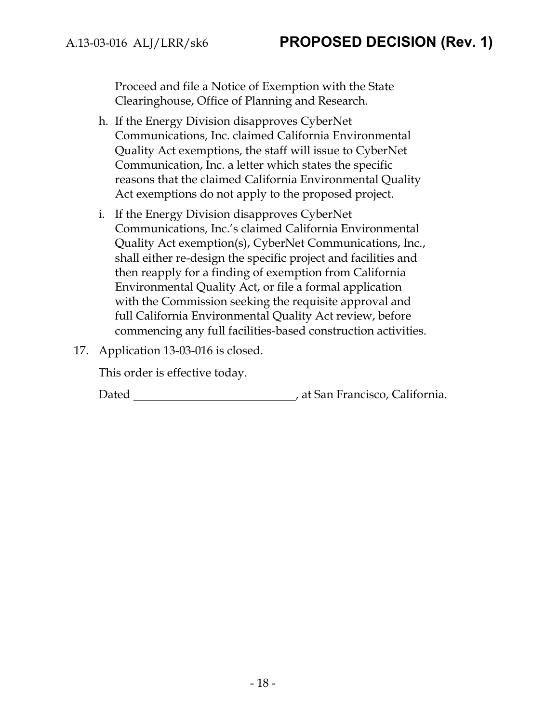Proceed and file a Notice of Exemption with the State Clearinghouse, Office of Planning and Research.

- h. If the Energy Division disapproves CyberNet Communications, Inc. claimed California Environmental Quality Act exemptions, the staff will issue to CyberNet Communication, Inc. a letter which states the specific reasons that the claimed California Environmental Quality Act exemptions do not apply to the proposed project.
- i. If the Energy Division disapproves CyberNet Communications, Inc.'s claimed California Environmental Quality Act exemption(s), CyberNet Communications, Inc., shall either re-design the specific project and facilities and then reapply for a finding of exemption from California Environmental Quality Act, or file a formal application with the Commission seeking the requisite approval and full California Environmental Quality Act review, before commencing any full facilities-based construction activities.
- 17. Application 13-03-016 is closed.

This order is effective today.

Dated **Material Contract Contract Contract Contract Contract Contract Contract Contract Contract Contract Contract Contract Contract Contract Contract Contract Contract Contract Contract Contract Contract Contract Contract**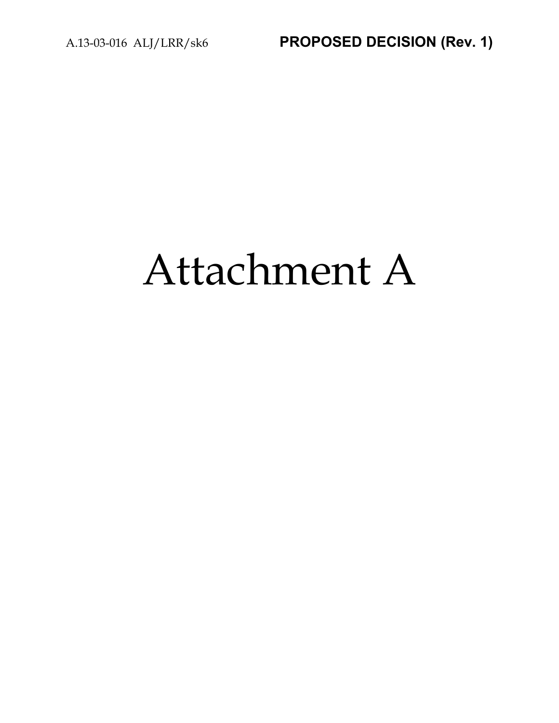# Attachment A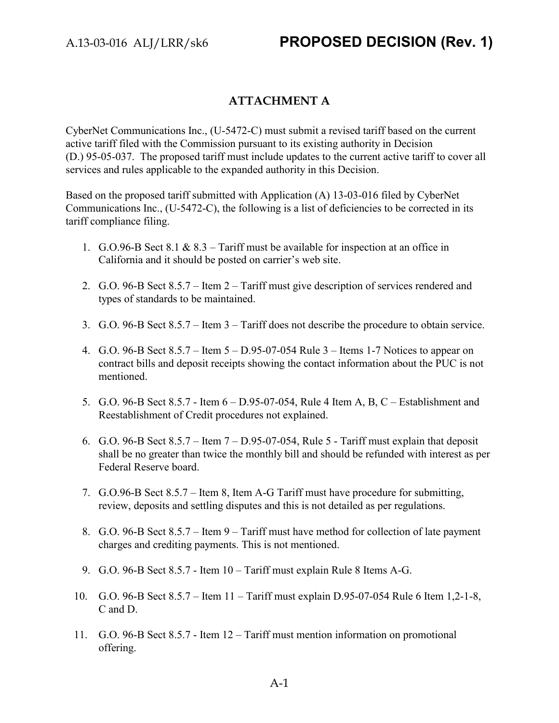## **ATTACHMENT A**

CyberNet Communications Inc., (U-5472-C) must submit a revised tariff based on the current active tariff filed with the Commission pursuant to its existing authority in Decision (D.) 95-05-037. The proposed tariff must include updates to the current active tariff to cover all services and rules applicable to the expanded authority in this Decision.

Based on the proposed tariff submitted with Application (A) 13-03-016 filed by CyberNet Communications Inc., (U-5472-C), the following is a list of deficiencies to be corrected in its tariff compliance filing.

- 1. G.O.96-B Sect 8.1 & 8.3 Tariff must be available for inspection at an office in California and it should be posted on carrier's web site.
- 2. G.O. 96-B Sect 8.5.7 Item 2 Tariff must give description of services rendered and types of standards to be maintained.
- 3. G.O. 96-B Sect 8.5.7 Item 3 Tariff does not describe the procedure to obtain service.
- 4. G.O. 96-B Sect 8.5.7 Item 5 D.95-07-054 Rule 3 Items 1-7 Notices to appear on contract bills and deposit receipts showing the contact information about the PUC is not mentioned.
- 5. G.O. 96-B Sect 8.5.7 Item 6 D.95-07-054, Rule 4 Item A, B, C Establishment and Reestablishment of Credit procedures not explained.
- 6. G.O. 96-B Sect 8.5.7 Item 7 D.95-07-054, Rule 5 Tariff must explain that deposit shall be no greater than twice the monthly bill and should be refunded with interest as per Federal Reserve board.
- 7. G.O.96-B Sect 8.5.7 Item 8, Item A-G Tariff must have procedure for submitting, review, deposits and settling disputes and this is not detailed as per regulations.
- 8. G.O. 96-B Sect 8.5.7 Item 9 Tariff must have method for collection of late payment charges and crediting payments. This is not mentioned.
- 9. G.O. 96-B Sect 8.5.7 Item 10 Tariff must explain Rule 8 Items A-G.
- 10. G.O. 96-B Sect 8.5.7 Item 11 Tariff must explain D.95-07-054 Rule 6 Item 1,2-1-8, C and D.
- 11. G.O. 96-B Sect 8.5.7 Item 12 Tariff must mention information on promotional offering.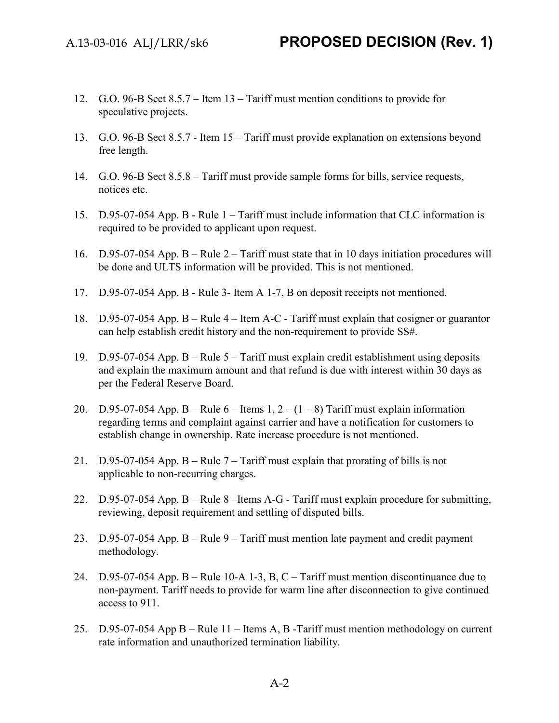- 12. G.O. 96-B Sect 8.5.7 Item 13 Tariff must mention conditions to provide for speculative projects.
- 13. G.O. 96-B Sect 8.5.7 Item 15 Tariff must provide explanation on extensions beyond free length.
- 14. G.O. 96-B Sect 8.5.8 Tariff must provide sample forms for bills, service requests, notices etc.
- 15. D.95-07-054 App. B Rule 1 Tariff must include information that CLC information is required to be provided to applicant upon request.
- 16. D.95-07-054 App. B Rule 2 Tariff must state that in 10 days initiation procedures will be done and ULTS information will be provided. This is not mentioned.
- 17. D.95-07-054 App. B Rule 3- Item A 1-7, B on deposit receipts not mentioned.
- 18. D.95-07-054 App. B Rule 4 Item A-C Tariff must explain that cosigner or guarantor can help establish credit history and the non-requirement to provide SS#.
- 19. D.95-07-054 App. B Rule 5 Tariff must explain credit establishment using deposits and explain the maximum amount and that refund is due with interest within 30 days as per the Federal Reserve Board.
- 20. D.95-07-054 App. B Rule  $6$  Items 1,  $2 (1 8)$  Tariff must explain information regarding terms and complaint against carrier and have a notification for customers to establish change in ownership. Rate increase procedure is not mentioned.
- 21. D.95-07-054 App. B Rule 7 Tariff must explain that prorating of bills is not applicable to non-recurring charges.
- 22. D.95-07-054 App. B Rule 8 –Items A-G Tariff must explain procedure for submitting, reviewing, deposit requirement and settling of disputed bills.
- 23. D.95-07-054 App. B Rule 9 Tariff must mention late payment and credit payment methodology.
- 24. D.95-07-054 App. B Rule 10-A 1-3, B, C Tariff must mention discontinuance due to non-payment. Tariff needs to provide for warm line after disconnection to give continued access to 911.
- 25. D.95-07-054 App B Rule 11 Items A, B -Tariff must mention methodology on current rate information and unauthorized termination liability.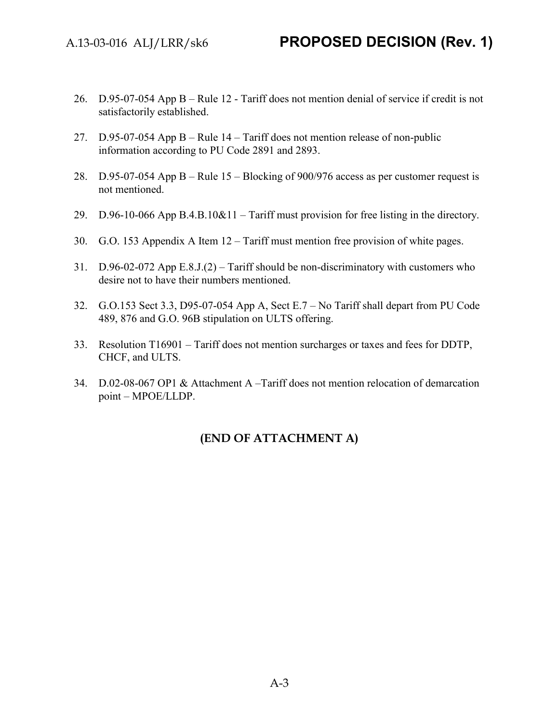- 26. D.95-07-054 App B Rule 12 Tariff does not mention denial of service if credit is not satisfactorily established.
- 27. D.95-07-054 App B Rule 14 Tariff does not mention release of non-public information according to PU Code 2891 and 2893.
- 28. D.95-07-054 App B Rule 15 Blocking of 900/976 access as per customer request is not mentioned.
- 29. D.96-10-066 App B.4.B.10&11 Tariff must provision for free listing in the directory.
- 30. G.O. 153 Appendix A Item 12 Tariff must mention free provision of white pages.
- 31. D.96-02-072 App E.8.J.(2) Tariff should be non-discriminatory with customers who desire not to have their numbers mentioned.
- 32. G.O.153 Sect 3.3, D95-07-054 App A, Sect E.7 No Tariff shall depart from PU Code 489, 876 and G.O. 96B stipulation on ULTS offering.
- 33. Resolution T16901 Tariff does not mention surcharges or taxes and fees for DDTP, CHCF, and ULTS.
- 34. D.02-08-067 OP1 & Attachment A –Tariff does not mention relocation of demarcation point – MPOE/LLDP.

## **(END OF ATTACHMENT A)**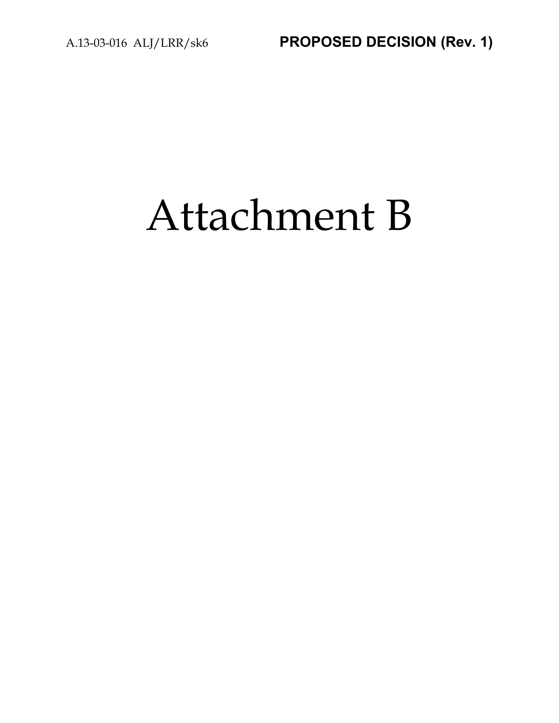# Attachment B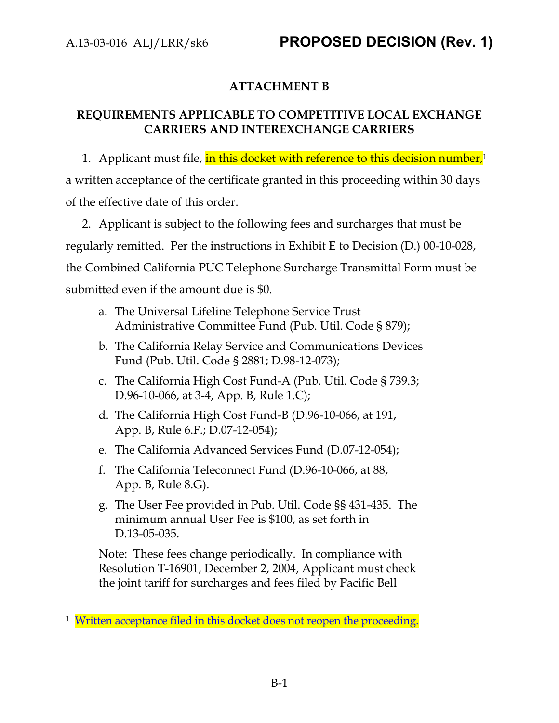## **ATTACHMENT B**

## **REQUIREMENTS APPLICABLE TO COMPETITIVE LOCAL EXCHANGE CARRIERS AND INTEREXCHANGE CARRIERS**

1. Applicant must file, in this docket with reference to this decision number,<sup>1</sup> a written acceptance of the certificate granted in this proceeding within 30 days of the effective date of this order.

2. Applicant is subject to the following fees and surcharges that must be regularly remitted. Per the instructions in Exhibit E to Decision (D.) 00-10-028, the Combined California PUC Telephone Surcharge Transmittal Form must be submitted even if the amount due is \$0.

- a. The Universal Lifeline Telephone Service Trust Administrative Committee Fund (Pub. Util. Code § 879);
- b. The California Relay Service and Communications Devices Fund (Pub. Util. Code § 2881; D.98-12-073);
- c. The California High Cost Fund-A (Pub. Util. Code § 739.3; D.96-10-066, at 3-4, App. B, Rule 1.C);
- d. The California High Cost Fund-B (D.96-10-066, at 191, App. B, Rule 6.F.; D.07-12-054);
- e. The California Advanced Services Fund (D.07-12-054);
- f. The California Teleconnect Fund (D.96-10-066, at 88, App. B, Rule 8.G).
- g. The User Fee provided in Pub. Util. Code §§ 431-435. The minimum annual User Fee is \$100, as set forth in D.13-05-035.

Note: These fees change periodically. In compliance with Resolution T-16901, December 2, 2004, Applicant must check the joint tariff for surcharges and fees filed by Pacific Bell

 $\overline{a}$ <sup>1</sup> Written acceptance filed in this docket does not reopen the proceeding.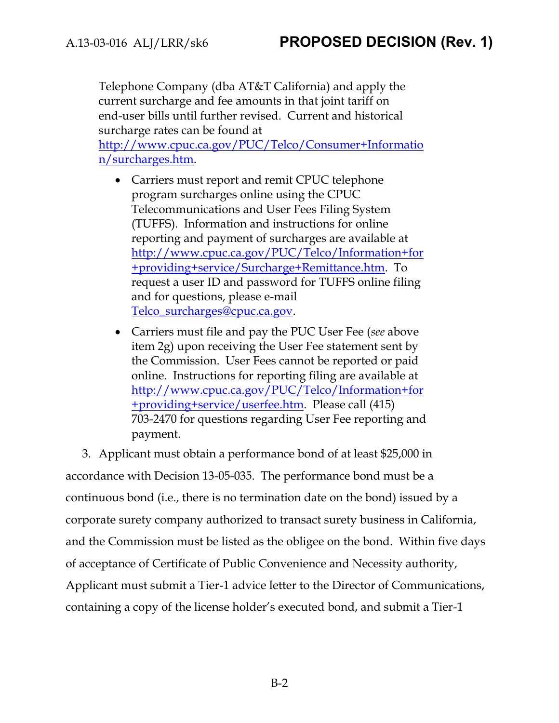Telephone Company (dba AT&T California) and apply the current surcharge and fee amounts in that joint tariff on end-user bills until further revised. Current and historical surcharge rates can be found at

[http://www.cpuc.ca.gov/PUC/Telco/Consumer+Informatio](http://www.cpuc.ca.gov/PUC/Telco/Consumer+Information/surcharges.htm) [n/surcharges.htm.](http://www.cpuc.ca.gov/PUC/Telco/Consumer+Information/surcharges.htm)

- Carriers must report and remit CPUC telephone program surcharges online using the CPUC Telecommunications and User Fees Filing System (TUFFS). Information and instructions for online reporting and payment of surcharges are available at [http://www.cpuc.ca.gov/PUC/Telco/Information+for](http://www.cpuc.ca.gov/PUC/Telco/Information+for+providing+service/Surcharge+Remittance.htm) [+providing+service/Surcharge+Remittance.htm.](http://www.cpuc.ca.gov/PUC/Telco/Information+for+providing+service/Surcharge+Remittance.htm) To request a user ID and password for TUFFS online filing and for questions, please e-mail [Telco\\_surcharges@cpuc.ca.gov.](mailto:Telco_surcharges@cpuc.ca.gov)
- Carriers must file and pay the PUC User Fee (*see* above item 2g) upon receiving the User Fee statement sent by the Commission. User Fees cannot be reported or paid online. Instructions for reporting filing are available at [http://www.cpuc.ca.gov/PUC/Telco/Information+for](http://www.cpuc.ca.gov/PUC/Telco/Information+for+providing+service/userfee.htm) [+providing+service/userfee.htm.](http://www.cpuc.ca.gov/PUC/Telco/Information+for+providing+service/userfee.htm) Please call (415) 703-2470 for questions regarding User Fee reporting and payment.

3. Applicant must obtain a performance bond of at least \$25,000 in accordance with Decision 13-05-035. The performance bond must be a continuous bond (i.e., there is no termination date on the bond) issued by a corporate surety company authorized to transact surety business in California, and the Commission must be listed as the obligee on the bond. Within five days of acceptance of Certificate of Public Convenience and Necessity authority, Applicant must submit a Tier-1 advice letter to the Director of Communications, containing a copy of the license holder's executed bond, and submit a Tier-1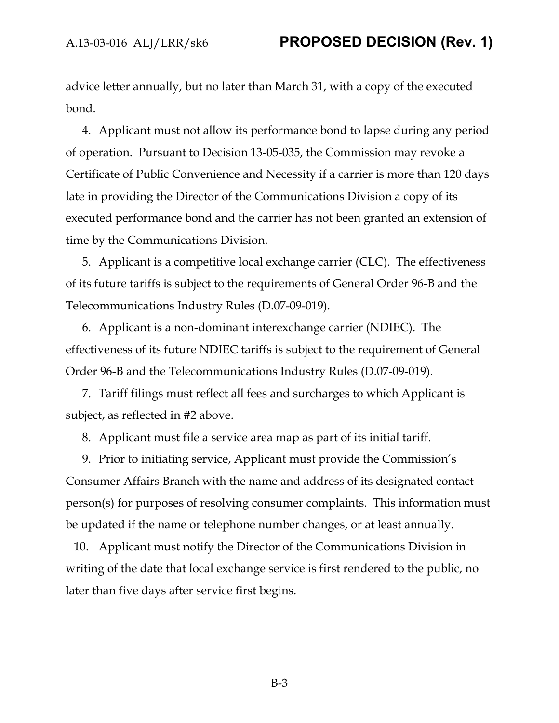advice letter annually, but no later than March 31, with a copy of the executed bond.

4. Applicant must not allow its performance bond to lapse during any period of operation. Pursuant to Decision 13-05-035, the Commission may revoke a Certificate of Public Convenience and Necessity if a carrier is more than 120 days late in providing the Director of the Communications Division a copy of its executed performance bond and the carrier has not been granted an extension of time by the Communications Division.

5. Applicant is a competitive local exchange carrier (CLC). The effectiveness of its future tariffs is subject to the requirements of General Order 96-B and the Telecommunications Industry Rules (D.07-09-019).

6. Applicant is a non-dominant interexchange carrier (NDIEC). The effectiveness of its future NDIEC tariffs is subject to the requirement of General Order 96-B and the Telecommunications Industry Rules (D.07-09-019).

7. Tariff filings must reflect all fees and surcharges to which Applicant is subject, as reflected in #2 above.

8. Applicant must file a service area map as part of its initial tariff.

9. Prior to initiating service, Applicant must provide the Commission's Consumer Affairs Branch with the name and address of its designated contact person(s) for purposes of resolving consumer complaints. This information must be updated if the name or telephone number changes, or at least annually.

10. Applicant must notify the Director of the Communications Division in writing of the date that local exchange service is first rendered to the public, no later than five days after service first begins.

B-3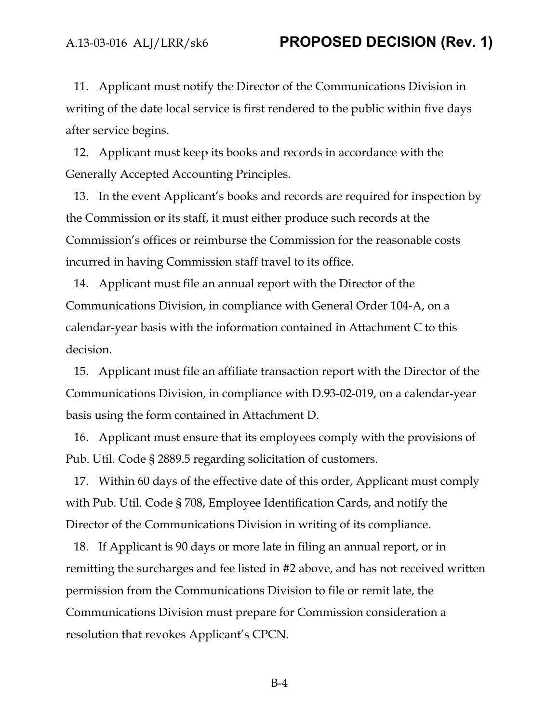11. Applicant must notify the Director of the Communications Division in writing of the date local service is first rendered to the public within five days after service begins.

12. Applicant must keep its books and records in accordance with the Generally Accepted Accounting Principles.

13. In the event Applicant's books and records are required for inspection by the Commission or its staff, it must either produce such records at the Commission's offices or reimburse the Commission for the reasonable costs incurred in having Commission staff travel to its office.

14. Applicant must file an annual report with the Director of the Communications Division, in compliance with General Order 104-A, on a calendar-year basis with the information contained in Attachment C to this decision.

15. Applicant must file an affiliate transaction report with the Director of the Communications Division, in compliance with D.93-02-019, on a calendar-year basis using the form contained in Attachment D.

16. Applicant must ensure that its employees comply with the provisions of Pub. Util. Code § 2889.5 regarding solicitation of customers.

17. Within 60 days of the effective date of this order, Applicant must comply with Pub. Util. Code § 708, Employee Identification Cards, and notify the Director of the Communications Division in writing of its compliance.

18. If Applicant is 90 days or more late in filing an annual report, or in remitting the surcharges and fee listed in #2 above, and has not received written permission from the Communications Division to file or remit late, the Communications Division must prepare for Commission consideration a resolution that revokes Applicant's CPCN.

B-4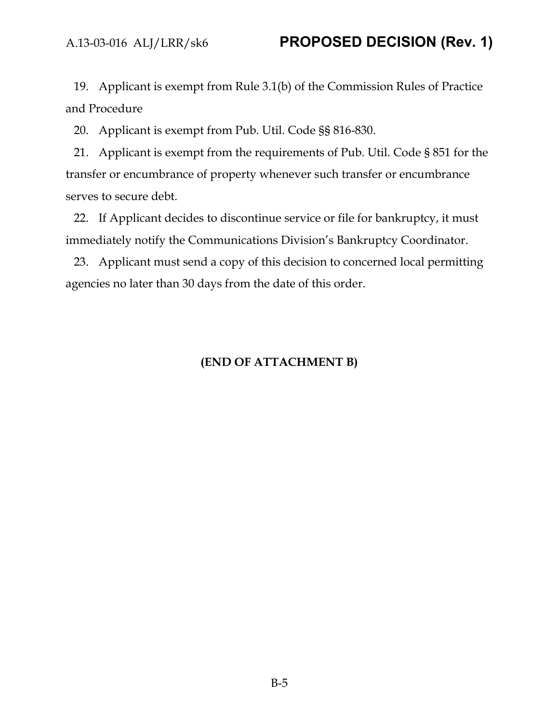19. Applicant is exempt from Rule 3.1(b) of the Commission Rules of Practice and Procedure

20. Applicant is exempt from Pub. Util. Code §§ 816-830.

21. Applicant is exempt from the requirements of Pub. Util. Code § 851 for the transfer or encumbrance of property whenever such transfer or encumbrance serves to secure debt.

22. If Applicant decides to discontinue service or file for bankruptcy, it must immediately notify the Communications Division's Bankruptcy Coordinator.

23. Applicant must send a copy of this decision to concerned local permitting agencies no later than 30 days from the date of this order.

## **(END OF ATTACHMENT B)**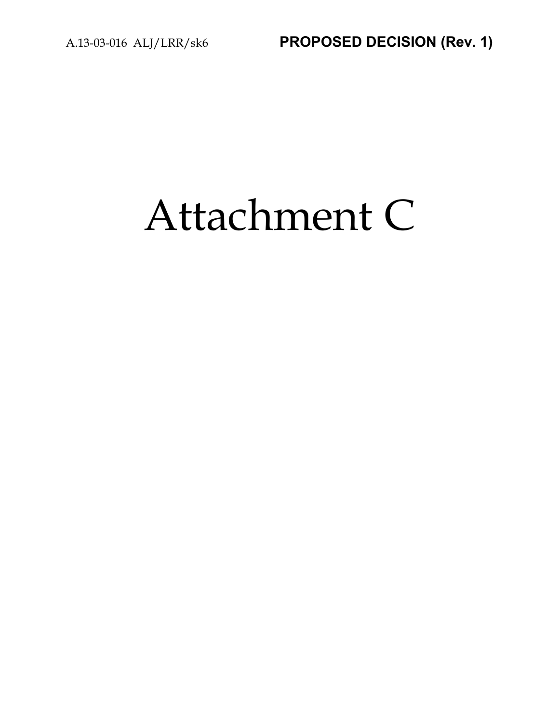# Attachment C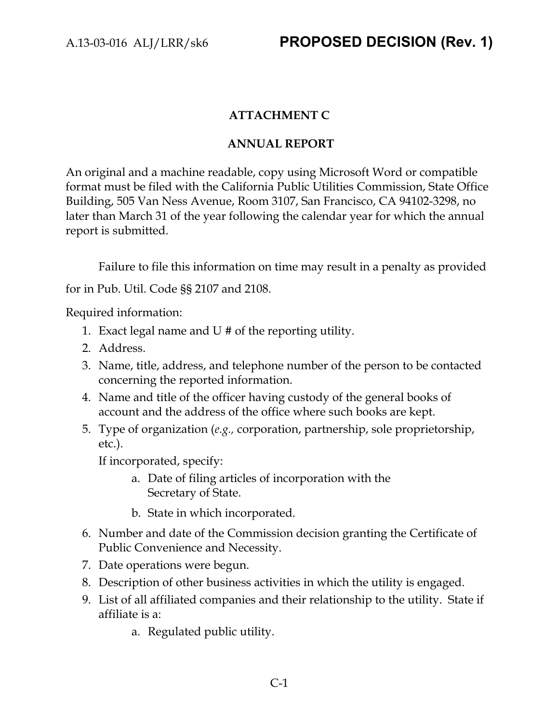## **ATTACHMENT C**

### **ANNUAL REPORT**

An original and a machine readable, copy using Microsoft Word or compatible format must be filed with the California Public Utilities Commission, State Office Building, 505 Van Ness Avenue, Room 3107, San Francisco, CA 94102-3298, no later than March 31 of the year following the calendar year for which the annual report is submitted.

Failure to file this information on time may result in a penalty as provided for in Pub. Util. Code §§ 2107 and 2108.

Required information:

- 1. Exact legal name and U # of the reporting utility.
- 2. Address.
- 3. Name, title, address, and telephone number of the person to be contacted concerning the reported information.
- 4. Name and title of the officer having custody of the general books of account and the address of the office where such books are kept.
- 5. Type of organization (*e.g.,* corporation, partnership, sole proprietorship, etc.).

If incorporated, specify:

- a. Date of filing articles of incorporation with the Secretary of State.
- b. State in which incorporated.
- 6. Number and date of the Commission decision granting the Certificate of Public Convenience and Necessity.
- 7. Date operations were begun.
- 8. Description of other business activities in which the utility is engaged.
- 9. List of all affiliated companies and their relationship to the utility. State if affiliate is a:
	- a. Regulated public utility.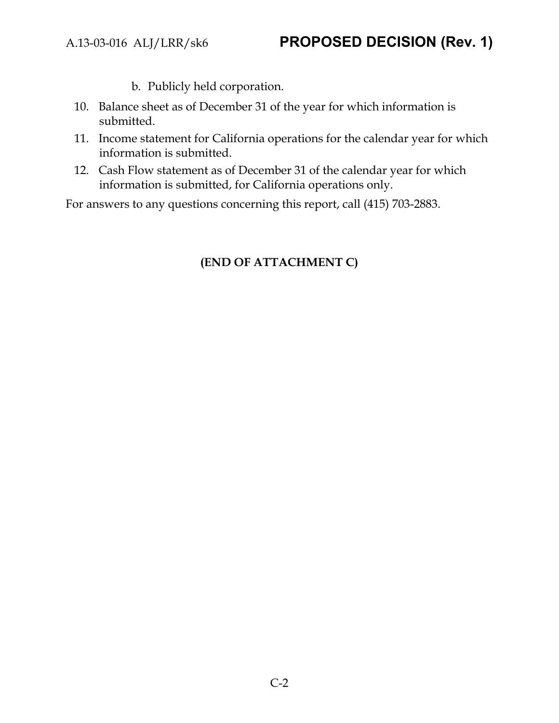- b. Publicly held corporation.
- 10. Balance sheet as of December 31 of the year for which information is submitted.
- 11. Income statement for California operations for the calendar year for which information is submitted.
- 12. Cash Flow statement as of December 31 of the calendar year for which information is submitted, for California operations only.

For answers to any questions concerning this report, call (415) 703-2883.

## **(END OF ATTACHMENT C)**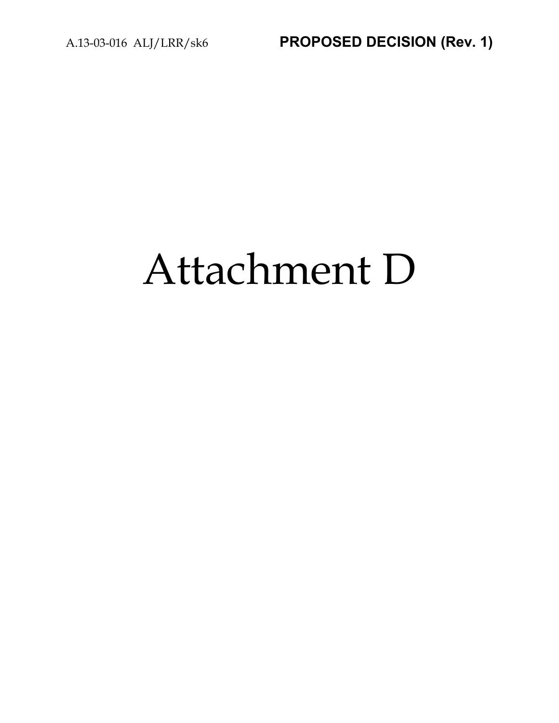# Attachment D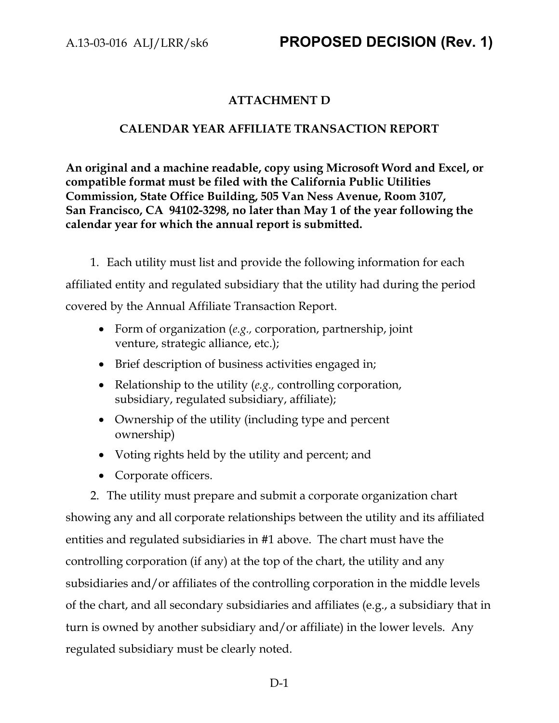## **ATTACHMENT D**

### **CALENDAR YEAR AFFILIATE TRANSACTION REPORT**

**An original and a machine readable, copy using Microsoft Word and Excel, or compatible format must be filed with the California Public Utilities Commission, State Office Building, 505 Van Ness Avenue, Room 3107, San Francisco, CA 94102-3298, no later than May 1 of the year following the calendar year for which the annual report is submitted.**

1. Each utility must list and provide the following information for each affiliated entity and regulated subsidiary that the utility had during the period covered by the Annual Affiliate Transaction Report.

- Form of organization (*e.g.,* corporation, partnership, joint venture, strategic alliance, etc.);
- Brief description of business activities engaged in;
- Relationship to the utility (*e.g.,* controlling corporation, subsidiary, regulated subsidiary, affiliate);
- Ownership of the utility (including type and percent ownership)
- Voting rights held by the utility and percent; and
- Corporate officers.

2. The utility must prepare and submit a corporate organization chart showing any and all corporate relationships between the utility and its affiliated entities and regulated subsidiaries in #1 above. The chart must have the controlling corporation (if any) at the top of the chart, the utility and any subsidiaries and/or affiliates of the controlling corporation in the middle levels of the chart, and all secondary subsidiaries and affiliates (e.g., a subsidiary that in turn is owned by another subsidiary and/or affiliate) in the lower levels. Any regulated subsidiary must be clearly noted.